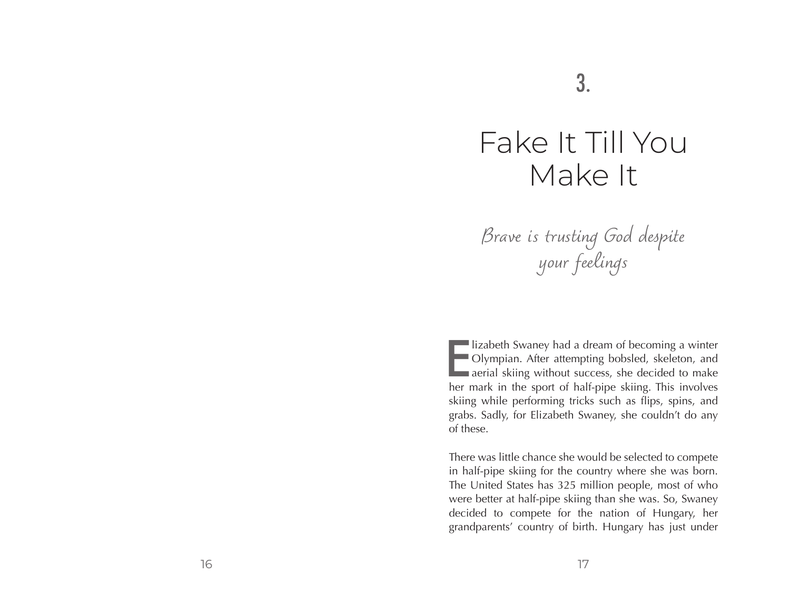# Fake It Till You Make It

*Brave is trusting God despite your feelings*

Iizabeth Swaney had a dream of becoming a winter<br>
Olympian. After attempting bobsled, skeleton, and<br>
aerial skiing without success, she decided to make<br>
become the sport of balf pipe skiing. This involves lizabeth Swaney had a dream of becoming a winter Olympian. After attempting bobsled, skeleton, and her mark in the sport of half-pipe skiing. This involves skiing while performing tricks such as flips, spins, and grabs. Sadly, for Elizabeth Swaney, she couldn't do any of these.

There was little chance she would be selected to compete in half-pipe skiing for the country where she was born. The United States has 325 million people, most of who were better at half-pipe skiing than she was. So, Swaney decided to compete for the nation of Hungary, her grandparents' country of birth. Hungary has just under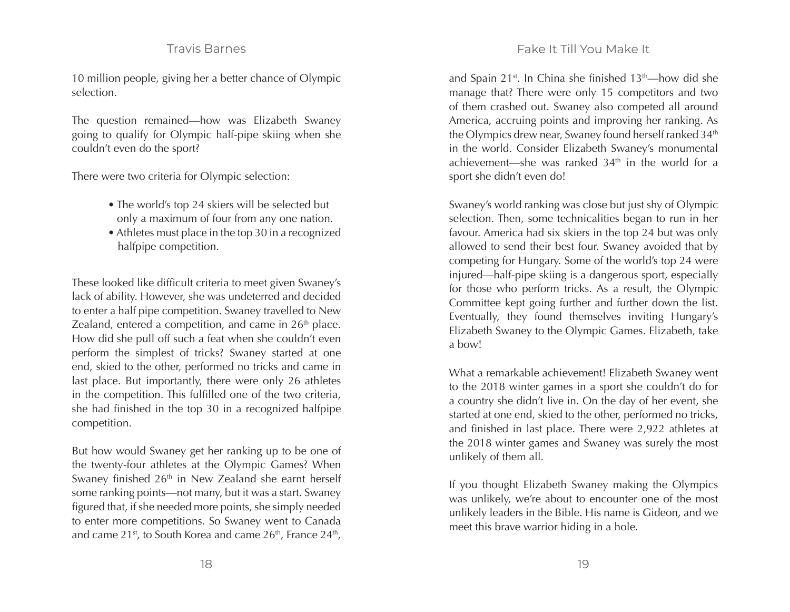# Travis Barnes

10 million people, giving her a better chance of Olympic selection.

The question remained—how was Elizabeth Swaney going to qualify for Olympic half-pipe skiing when she couldn't even do the sport?

There were two criteria for Olympic selection:

- The world's top 24 skiers will be selected but only a maximum of four from any one nation.
- Athletes must place in the top 30 in a recognized halfpipe competition.

These looked like difficult criteria to meet given Swaney's lack of ability. However, she was undeterred and decided to enter a half pipe competition. Swaney travelled to New Zealand, entered a competition, and came in  $26<sup>th</sup>$  place. How did she pull off such a feat when she couldn't even perform the simplest of tricks? Swaney started at one end, skied to the other, performed no tricks and came in last place. But importantly, there were only 26 athletes in the competition. This fulfilled one of the two criteria, she had finished in the top 30 in a recognized halfpipe competition.

But how would Swaney get her ranking up to be one of the twenty-four athletes at the Olympic Games? When Swaney finished 26<sup>th</sup> in New Zealand she earnt herself some ranking points—not many, but it was a start. Swaney figured that, if she needed more points, she simply needed to enter more competitions. So Swaney went to Canada and came  $21^{st}$ , to South Korea and came  $26^{th}$ , France  $24^{th}$ , and Spain 21<sup>st</sup>. In China she finished  $13<sup>th</sup>$ —how did she manage that? There were only 15 competitors and two of them crashed out. Swaney also competed all around America, accruing points and improving her ranking. As the Olympics drew near, Swaney found herself ranked 34<sup>th</sup> in the world. Consider Elizabeth Swaney's monumental achievement—she was ranked  $34<sup>th</sup>$  in the world for a sport she didn't even do!

Swaney's world ranking was close but just shy of Olympic selection. Then, some technicalities began to run in her favour. America had six skiers in the top 24 but was only allowed to send their best four. Swaney avoided that by competing for Hungary. Some of the world's top 24 were injured—half-pipe skiing is a dangerous sport, especially for those who perform tricks. As a result, the Olympic Committee kept going further and further down the list. Eventually, they found themselves inviting Hungary's Elizabeth Swaney to the Olympic Games. Elizabeth, take a bow!

What a remarkable achievement! Elizabeth Swaney went to the 2018 winter games in a sport she couldn't do for a country she didn't live in. On the day of her event, she started at one end, skied to the other, performed no tricks, and finished in last place. There were 2,922 athletes at the 2018 winter games and Swaney was surely the most unlikely of them all.

If you thought Elizabeth Swaney making the Olympics was unlikely, we're about to encounter one of the most unlikely leaders in the Bible. His name is Gideon, and we meet this brave warrior hiding in a hole.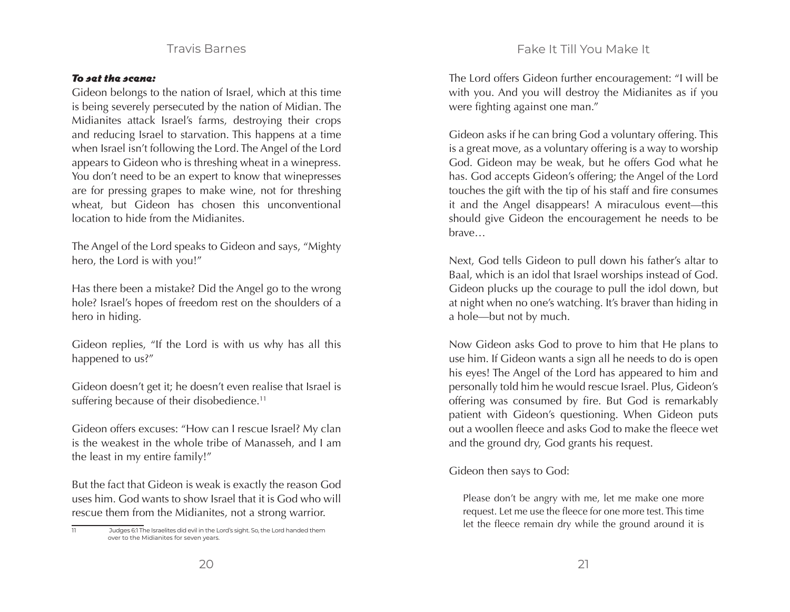# Fake It Till You Make It

### Travis Barnes

#### To set the scene:

Gideon belongs to the nation of Israel, which at this time is being severely persecuted by the nation of Midian. The Midianites attack Israel's farms, destroying their crops and reducing Israel to starvation. This happens at a time when Israel isn't following the Lord. The Angel of the Lord appears to Gideon who is threshing wheat in a winepress. You don't need to be an expert to know that winepresses are for pressing grapes to make wine, not for threshing wheat, but Gideon has chosen this unconventional location to hide from the Midianites.

The Angel of the Lord speaks to Gideon and says, "Mighty hero, the Lord is with you!"

Has there been a mistake? Did the Angel go to the wrong hole? Israel's hopes of freedom rest on the shoulders of a hero in hiding.

Gideon replies, "If the Lord is with us why has all this happened to us?"

Gideon doesn't get it; he doesn't even realise that Israel is suffering because of their disobedience.<sup>11</sup>

Gideon offers excuses: "How can I rescue Israel? My clan is the weakest in the whole tribe of Manasseh, and I am the least in my entire family!"

But the fact that Gideon is weak is exactly the reason God uses him. God wants to show Israel that it is God who will rescue them from the Midianites, not a strong warrior.

The Lord offers Gideon further encouragement: "I will be with you. And you will destroy the Midianites as if you were fighting against one man."

Gideon asks if he can bring God a voluntary offering. This is a great move, as a voluntary offering is a way to worship God. Gideon may be weak, but he offers God what he has. God accepts Gideon's offering; the Angel of the Lord touches the gift with the tip of his staff and fire consumes it and the Angel disappears! A miraculous event—this should give Gideon the encouragement he needs to be brave…

Next, God tells Gideon to pull down his father's altar to Baal, which is an idol that Israel worships instead of God. Gideon plucks up the courage to pull the idol down, but at night when no one's watching. It's braver than hiding in a hole—but not by much.

Now Gideon asks God to prove to him that He plans to use him. If Gideon wants a sign all he needs to do is open his eyes! The Angel of the Lord has appeared to him and personally told him he would rescue Israel. Plus, Gideon's offering was consumed by fire. But God is remarkably patient with Gideon's questioning. When Gideon puts out a woollen fleece and asks God to make the fleece wet and the ground dry, God grants his request.

Gideon then says to God:

Please don't be angry with me, let me make one more request. Let me use the fleece for one more test. This time let the fleece remain dry while the ground around it is

<sup>11</sup> Judges 6:1 The Israelites did evil in the Lord's sight. So, the Lord handed them over to the Midianites for seven years.